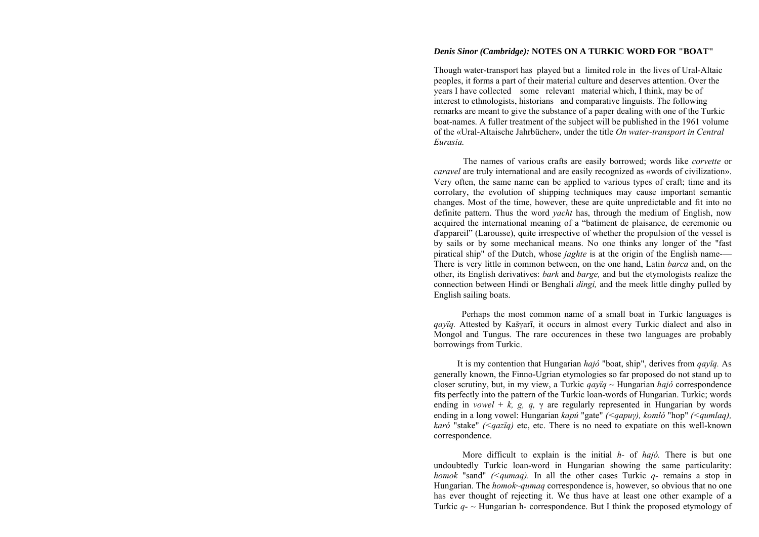## *Denis Sinor (Cambridge):* **NOTES ON A TURKIC WORD FOR "BOAT"**

Though water-transport has played but a limited role in the lives of Ural-Altaic peoples, it forms a part of their material culture and deserves attention. Over the years I have collected some relevant material which, I think, may be of interest to ethnologists, historians and comparative linguists. The following remarks are meant to give the substance of a paper dealing with one of the Turkic boat-names. A fuller treatment of the subject will be published in the 1961 volume of the «Ural-Altaische Jahrbücher», under the title *On water-transport in Central Eurasia.*

The names of various crafts are easily borrowed; words like *corvette* or *caravel* are truly international and are easily recognized as «words of civilization». Very often, the same name can be applied to various types of craft; time and its corrolary, the evolution of shipping techniques may cause important semantic changes. Most of the time, however, these are quite unpredictable and fit into no definite pattern. Thus the word *yacht* has, through the medium of English, now acquired the international meaning of a "batiment de plaisance, de ceremonie ou d'appareil" (Larousse), quite irrespective of whether the propulsion of the vessel is by sails or by some mechanical means. No one thinks any longer of the "fast piratical ship" of the Dutch, whose *jaghte* is at the origin of the English name-— There is very little in common between, on the one hand, Latin *barca* and, on the other, its English derivatives: *bark* and *barge,* and but the etymologists realize the connection between Hindi or Benghali *dingi,* and the meek little dinghy pulled by English sailing boats.

More difficult to explain is the initial *h-* of *hajó.* There is but one undoubtedly Turkic loan-word in Hungarian showing the same particularity: *homok* "sand" *(<qumaq)*. In all the other cases Turkic *q*- remains a stop in Hungarian. The *homok~qumaq* correspondence is, however, so obvious that no one has ever thought of rejecting it. We thus have at least one other example of a Turkic  $q - \sim$  Hungarian h- correspondence. But I think the proposed etymology of

Perhaps the most common name of a small boat in Turkic languages is *qayïq.* Attested by Kaš γarī, it occurs in almost every Turkic dialect and also in Mongol and Tungus. The rare occurences in these two languages are probably borrowings from Turkic.

It is my contention that Hungarian *hajó* "boat, ship", derives from *qayïq.* As generally known, the Finno-Ugrian etymologies so far proposed do not stand up to closer scrutiny, but, in my view, a Turkic *qayïq ~* Hungarian *hajó* correspondence fits perfectly into the pattern of the Turkic loan-words of Hungarian. Turkic; words ending in *vowel* + *k, g, q,* γ are regularly represented in Hungarian by words ending in a long vowel: Hungarian *kapú* "gate" *(<qapu γ), komló* "hop" *(<qumlaq), karó* "stake" *(<qazïq)* etc, etc. There is no need to expatiate on this well-known correspondence.